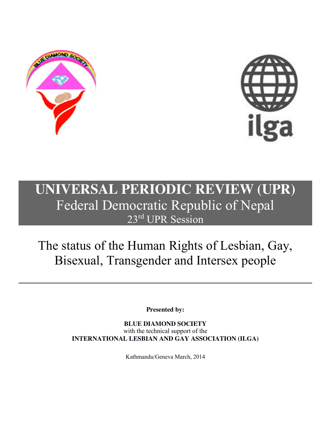



## **UNIVERSAL PERIODIC REVIEW (UPR)** Federal Democratic Republic of Nepal 23<sup>rd</sup> UPR Session

# The status of the Human Rights of Lesbian, Gay, Bisexual, Transgender and Intersex people

**Presented by:**

**BLUE DIAMOND SOCIETY** with the technical support of the **INTERNATIONAL LESBIAN AND GAY ASSOCIATION (ILGA)**

Kathmandu/Geneva March, 2014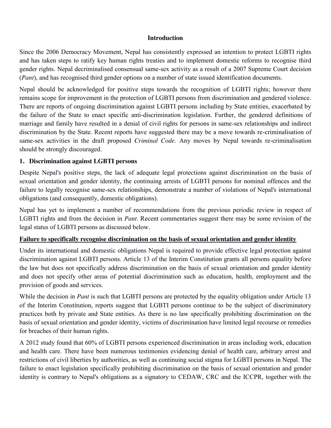#### **Introduction**

Since the 2006 Democracy Movement, Nepal has consistently expressed an intention to protect LGBTI rights and has taken steps to ratify key human rights treaties and to implement domestic reforms to recognise third gender rights. Nepal decriminalised consensual same-sex activity as a result of a 2007 Supreme Court decision (*Pant*), and has recognised third gender options on a number of state issued identification documents.

Nepal should be acknowledged for positive steps towards the recognition of LGBTI rights; however there remains scope for improvement in the protection of LGBTI persons from discrimination and gendered violence. There are reports of ongoing discrimination against LGBTI persons including by State entities, exacerbated by the failure of the State to enact specific anti-discrimination legislation. Further, the gendered definitions of marriage and family have resulted in a denial of civil rights for persons in same-sex relationships and indirect discrimination by the State. Recent reports have suggested there may be a move towards re-criminalisation of same-sex activities in the draft proposed *Criminal Code*. Any moves by Nepal towards re-criminalisation should be strongly discouraged.

#### **1. Discrimination against LGBTI persons**

Despite Nepal's positive steps, the lack of adequate legal protections against discrimination on the basis of sexual orientation and gender identity, the continuing arrests of LGBTI persons for nominal offences and the failure to legally recognise same-sex relationships, demonstrate a number of violations of Nepal's international obligations (and consequently, domestic obligations).

Nepal has yet to implement a number of recommendations from the previous periodic review in respect of LGBTI rights and from the decision in *Pant*. Recent commentaries suggest there may be some revision of the legal status of LGBTI persons as discussed below.

#### **Failure to specifically recognise discrimination on the basis of sexual orientation and gender identity**

Under its international and domestic obligations Nepal is required to provide effective legal protection against discrimination against LGBTI persons. Article 13 of the Interim Constitution grants all persons equality before the law but does not specifically address discrimination on the basis of sexual orientation and gender identity and does not specify other areas of potential discrimination such as education, health, employment and the provision of goods and services.

While the decision in *Pant* is such that LGBTI persons are protected by the equality obligation under Article 13 of the Interim Constitution, reports suggest that LGBTI persons continue to be the subject of discriminatory practices both by private and State entities. As there is no law specifically prohibiting discrimination on the basis of sexual orientation and gender identity, victims of discrimination have limited legal recourse or remedies for breaches of their human rights.

A 2012 study found that 60% of LGBTI persons experienced discrimination in areas including work, education and health care. There have been numerous testimonies evidencing denial of health care, arbitrary arrest and restrictions of civil liberties by authorities, as well as continuing social stigma for LGBTI persons in Nepal. The failure to enact legislation specifically prohibiting discrimination on the basis of sexual orientation and gender identity is contrary to Nepal's obligations as a signatory to CEDAW, CRC and the ICCPR, together with the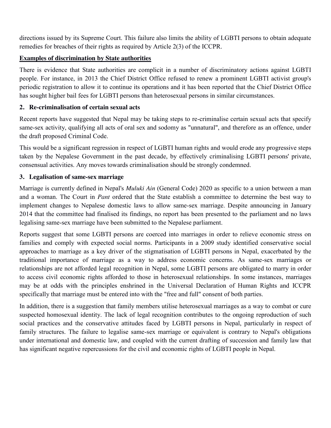directions issued by its Supreme Court. This failure also limits the ability of LGBTI persons to obtain adequate remedies for breaches of their rights as required by Article 2(3) of the ICCPR.

#### **Examples of discrimination by State authorities**

There is evidence that State authorities are complicit in a number of discriminatory actions against LGBTI people. For instance, in 2013 the Chief District Office refused to renew a prominent LGBTI activist group's periodic registration to allow it to continue its operations and it has been reported that the Chief District Office has sought higher bail fees for LGBTI persons than heterosexual persons in similar circumstances.

#### **2. Re-criminalisation of certain sexual acts**

Recent reports have suggested that Nepal may be taking steps to re-criminalise certain sexual acts that specify same-sex activity, qualifying all acts of oral sex and sodomy as "unnatural", and therefore as an offence, under the draft proposed Criminal Code.

This would be a significant regression in respect of LGBTI human rights and would erode any progressive steps taken by the Nepalese Government in the past decade, by effectively criminalising LGBTI persons' private, consensual activities. Any moves towards criminalisation should be strongly condemned.

#### **3. Legalisation of same-sex marriage**

Marriage is currently defined in Nepal's *Muluki Ain* (General Code) 2020 as specific to a union between a man and a woman. The Court in *Pant* ordered that the State establish a committee to determine the best way to implement changes to Nepalese domestic laws to allow same-sex marriage. Despite announcing in January 2014 that the committee had finalised its findings, no report has been presented to the parliament and no laws legalising same-sex marriage have been submitted to the Nepalese parliament.

Reports suggest that some LGBTI persons are coerced into marriages in order to relieve economic stress on families and comply with expected social norms. Participants in a 2009 study identified conservative social approaches to marriage as a key driver of the stigmatisation of LGBTI persons in Nepal, exacerbated by the traditional importance of marriage as a way to address economic concerns. As same-sex marriages or relationships are not afforded legal recognition in Nepal, some LGBTI persons are obligated to marry in order to access civil economic rights afforded to those in heterosexual relationships. In some instances, marriages may be at odds with the principles enshrined in the Universal Declaration of Human Rights and ICCPR specifically that marriage must be entered into with the "free and full" consent of both parties.

In addition, there is a suggestion that family members utilise heterosexual marriages as a way to combat or cure suspected homosexual identity. The lack of legal recognition contributes to the ongoing reproduction of such social practices and the conservative attitudes faced by LGBTI persons in Nepal, particularly in respect of family structures. The failure to legalise same-sex marriage or equivalent is contrary to Nepal's obligations under international and domestic law, and coupled with the current drafting of succession and family law that has significant negative repercussions for the civil and economic rights of LGBTI people in Nepal.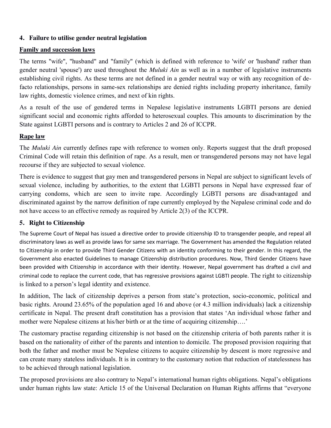#### **4. Failure to utilise gender neutral legislation**

#### **Family and succession laws**

The terms "wife", "husband" and "family" (which is defined with reference to 'wife' or 'husband' rather than gender neutral 'spouse') are used throughout the *Muluki Ain* as well as in a number of legislative instruments establishing civil rights. As these terms are not defined in a gender neutral way or with any recognition of defacto relationships, persons in same-sex relationships are denied rights including property inheritance, family law rights, domestic violence crimes, and next of kin rights.

As a result of the use of gendered terms in Nepalese legislative instruments LGBTI persons are denied significant social and economic rights afforded to heterosexual couples. This amounts to discrimination by the State against LGBTI persons and is contrary to Articles 2 and 26 of ICCPR.

#### **Rape law**

The *Muluki Ain* currently defines rape with reference to women only. Reports suggest that the draft proposed Criminal Code will retain this definition of rape. As a result, men or transgendered persons may not have legal recourse if they are subjected to sexual violence.

There is evidence to suggest that gay men and transgendered persons in Nepal are subject to significant levels of sexual violence, including by authorities, to the extent that LGBTI persons in Nepal have expressed fear of carrying condoms, which are seen to invite rape. Accordingly LGBTI persons are disadvantaged and discriminated against by the narrow definition of rape currently employed by the Nepalese criminal code and do not have access to an effective remedy as required by Article 2(3) of the ICCPR.

### **5. Right to Citizenship**

The Supreme Court of Nepal has issued a directive order to provide citizenship ID to transgender people, and repeal all discriminatory laws as well as provide laws for same sex marriage. The Government has amended the Regulation related to Citizenship in order to provide Third Gender Citizens with an identity conforming to their gender. In this regard, the Government also enacted Guidelines to manage Citizenship distribution procedures. Now, Third Gender Citizens have been provided with Citizenship in accordance with their identity. However, Nepal government has drafted a civil and criminal code to replace the current code, that has regressive provisions against LGBTI people. The right to citizenship is linked to a person's legal identity and existence.

In addition, The lack of citizenship deprives a person from state's protection, socio-economic, political and basic rights. Around 23.65% of the population aged 16 and above (or 4.3 million individuals) lack a citizenship certificate in Nepal. The present draft constitution has a provision that states 'An individual whose father and mother were Nepalese citizens at his/her birth or at the time of acquiring citizenship….'

The customary practise regarding citizenship is not based on the citizenship criteria of both parents rather it is based on the nationality of either of the parents and intention to domicile. The proposed provision requiring that both the father and mother must be Nepalese citizens to acquire citizenship by descent is more regressive and can create many stateless individuals. It is in contrary to the customary notion that reduction of statelessness has to be achieved through national legislation.

The proposed provisions are also contrary to Nepal's international human rights obligations. Nepal's obligations under human rights law state: Article 15 of the Universal Declaration on Human Rights affirms that "everyone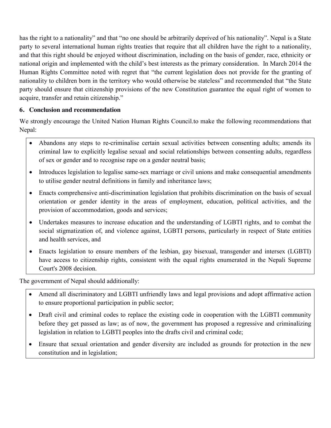has the right to a nationality" and that "no one should be arbitrarily deprived of his nationality". Nepal is a State party to several international human rights treaties that require that all children have the right to a nationality, and that this right should be enjoyed without discrimination, including on the basis of gender, race, ethnicity or national origin and implemented with the child's best interests as the primary consideration. In March 2014 the Human Rights Committee noted with regret that "the current legislation does not provide for the granting of nationality to children born in the territory who would otherwise be stateless" and recommended that "the State party should ensure that citizenship provisions of the new Constitution guarantee the equal right of women to acquire, transfer and retain citizenship."

#### **6. Conclusion and recommendation**

We strongly encourage the United Nation Human Rights Council.to make the following recommendations that Nepal:

- Abandons any steps to re-criminalise certain sexual activities between consenting adults; amends its criminal law to explicitly legalise sexual and social relationships between consenting adults, regardless of sex or gender and to recognise rape on a gender neutral basis;
- Introduces legislation to legalise same-sex marriage or civil unions and make consequential amendments to utilise gender neutral definitions in family and inheritance laws;
- Enacts comprehensive anti-discrimination legislation that prohibits discrimination on the basis of sexual orientation or gender identity in the areas of employment, education, political activities, and the provision of accommodation, goods and services;
- Undertakes measures to increase education and the understanding of LGBTI rights, and to combat the social stigmatization of, and violence against, LGBTI persons, particularly in respect of State entities and health services, and
- Enacts legislation to ensure members of the lesbian, gay bisexual, transgender and intersex (LGBTI) have access to citizenship rights, consistent with the equal rights enumerated in the Nepali Supreme Court's 2008 decision.

The government of Nepal should additionally:

- Amend all discriminatory and LGBTI unfriendly laws and legal provisions and adopt affirmative action to ensure proportional participation in public sector;
- Draft civil and criminal codes to replace the existing code in cooperation with the LGBTI community before they get passed as law; as of now, the government has proposed a regressive and criminalizing legislation in relation to LGBTI peoples into the drafts civil and criminal code;
- Ensure that sexual orientation and gender diversity are included as grounds for protection in the new constitution and in legislation;